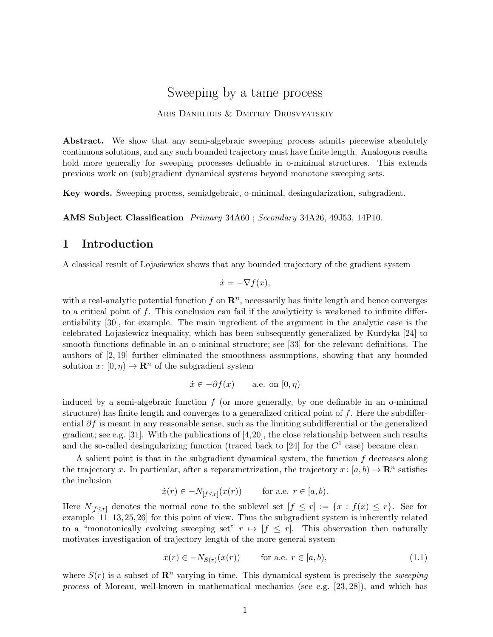# Sweeping by a tame process

#### ARIS DANIILIDIS & DMITRIY DRUSVYATSKIY

Abstract. We show that any semi-algebraic sweeping process admits piecewise absolutely continuous solutions, and any such bounded trajectory must have finite length. Analogous results hold more generally for sweeping processes definable in o-minimal structures. This extends previous work on (sub)gradient dynamical systems beyond monotone sweeping sets.

Key words. Sweeping process, semialgebraic, o-minimal, desingularization, subgradient.

AMS Subject Classification Primary 34A60 ; Secondary 34A26, 49J53, 14P10.

## 1 Introduction

A classical result of Lojasiewicz shows that any bounded trajectory of the gradient system

$$
\dot{x} = -\nabla f(x),
$$

with a real-analytic potential function f on  $\mathbb{R}^n$ , necessarily has finite length and hence converges to a critical point of  $f$ . This conclusion can fail if the analyticity is weakened to infinite differentiability [30], for example. The main ingredient of the argument in the analytic case is the celebrated Lojasiewicz inequality, which has been subsequently generalized by Kurdyka [24] to smooth functions definable in an o-minimal structure; see [33] for the relevant definitions. The authors of [2, 19] further eliminated the smoothness assumptions, showing that any bounded solution  $x: [0, \eta) \to \mathbf{R}^n$  of the subgradient system

$$
\dot{x} \in -\partial f(x)
$$
 a.e. on  $[0, \eta)$ 

induced by a semi-algebraic function  $f$  (or more generally, by one definable in an o-minimal structure) has finite length and converges to a generalized critical point of  $f$ . Here the subdifferential  $\partial f$  is meant in any reasonable sense, such as the limiting subdifferential or the generalized gradient; see e.g. [31]. With the publications of  $[4,20]$ , the close relationship between such results and the so-called desingularizing function (traced back to [24] for the  $C<sup>1</sup>$  case) became clear.

A salient point is that in the subgradient dynamical system, the function  $f$  decreases along the trajectory x. In particular, after a reparametrization, the trajectory  $x: [a, b) \to \mathbb{R}^n$  satisfies the inclusion

$$
\dot{x}(r) \in -N_{[f \le r]}(x(r)) \quad \text{for a.e. } r \in [a, b).
$$

Here  $N_{[f\leq r]}$  denotes the normal cone to the sublevel set  $[f\leq r]:=\{x: f(x)\leq r\}$ . See for example [11–13, 25, 26] for this point of view. Thus the subgradient system is inherently related to a "monotonically evolving sweeping set"  $r \mapsto [f \leq r]$ . This observation then naturally motivates investigation of trajectory length of the more general system

$$
\dot{x}(r) \in -N_{S(r)}(x(r)) \qquad \text{for a.e. } r \in [a, b), \tag{1.1}
$$

where  $S(r)$  is a subset of  $\mathbb{R}^n$  varying in time. This dynamical system is precisely the *sweeping* process of Moreau, well-known in mathematical mechanics (see e.g. [23, 28]), and which has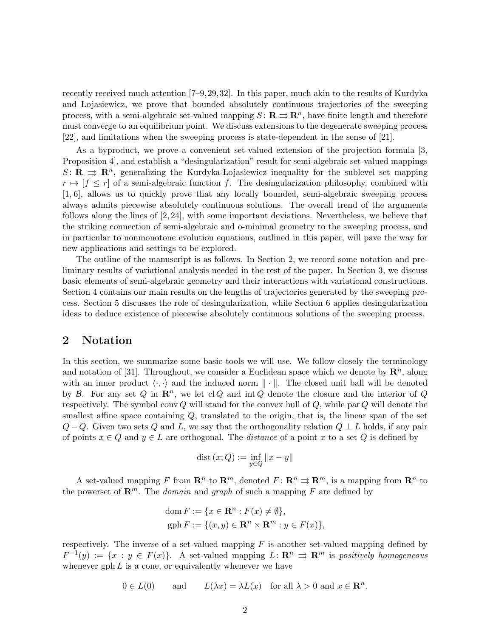recently received much attention [7–9,29,32]. In this paper, much akin to the results of Kurdyka and Lojasiewicz, we prove that bounded absolutely continuous trajectories of the sweeping process, with a semi-algebraic set-valued mapping  $S: \mathbf{R} \rightrightarrows \mathbf{R}^n$ , have finite length and therefore must converge to an equilibrium point. We discuss extensions to the degenerate sweeping process [22], and limitations when the sweeping process is state-dependent in the sense of [21].

As a byproduct, we prove a convenient set-valued extension of the projection formula [3, Proposition 4], and establish a "desingularization" result for semi-algebraic set-valued mappings S:  $\mathbf{R} \implies \mathbf{R}^n$ , generalizing the Kurdyka-Lojasiewicz inequality for the sublevel set mapping  $r \mapsto [f \leq r]$  of a semi-algebraic function f. The desingularization philosophy, combined with [1, 6], allows us to quickly prove that any locally bounded, semi-algebraic sweeping process always admits piecewise absolutely continuous solutions. The overall trend of the arguments follows along the lines of  $[2, 24]$ , with some important deviations. Nevertheless, we believe that the striking connection of semi-algebraic and o-minimal geometry to the sweeping process, and in particular to nonmonotone evolution equations, outlined in this paper, will pave the way for new applications and settings to be explored.

The outline of the manuscript is as follows. In Section 2, we record some notation and preliminary results of variational analysis needed in the rest of the paper. In Section 3, we discuss basic elements of semi-algebraic geometry and their interactions with variational constructions. Section 4 contains our main results on the lengths of trajectories generated by the sweeping process. Section 5 discusses the role of desingularization, while Section 6 applies desingularization ideas to deduce existence of piecewise absolutely continuous solutions of the sweeping process.

#### 2 Notation

In this section, we summarize some basic tools we will use. We follow closely the terminology and notation of [31]. Throughout, we consider a Euclidean space which we denote by  $\mathbb{R}^n$ , along with an inner product  $\langle \cdot, \cdot \rangle$  and the induced norm  $\|\cdot\|$ . The closed unit ball will be denoted by B. For any set Q in  $\mathbb{R}^n$ , we let clQ and int Q denote the closure and the interior of Q respectively. The symbol conv  $Q$  will stand for the convex hull of  $Q$ , while par  $Q$  will denote the smallest affine space containing Q, translated to the origin, that is, the linear span of the set  $Q - Q$ . Given two sets Q and L, we say that the orthogonality relation  $Q \perp L$  holds, if any pair of points  $x \in Q$  and  $y \in L$  are orthogonal. The *distance* of a point x to a set Q is defined by

$$
\operatorname{dist}\left(x;Q\right):=\inf_{y\in Q}\left\Vert x-y\right\Vert
$$

A set-valued mapping F from  $\mathbb{R}^n$  to  $\mathbb{R}^m$ , denoted  $F: \mathbb{R}^n \rightrightarrows \mathbb{R}^m$ , is a mapping from  $\mathbb{R}^n$  to the powerset of  $\mathbb{R}^m$ . The *domain* and *graph* of such a mapping F are defined by

dom 
$$
F := \{x \in \mathbb{R}^n : F(x) \neq \emptyset\},\
$$
  
gph  $F := \{(x, y) \in \mathbb{R}^n \times \mathbb{R}^m : y \in F(x)\},\$ 

respectively. The inverse of a set-valued mapping  $F$  is another set-valued mapping defined by  $F^{-1}(y) := \{x : y \in F(x)\}.$  A set-valued mapping  $L: \mathbb{R}^n \Rightarrow \mathbb{R}^m$  is positively homogeneous whenever  $gph L$  is a cone, or equivalently whenever we have

$$
0 \in L(0)
$$
 and  $L(\lambda x) = \lambda L(x)$  for all  $\lambda > 0$  and  $x \in \mathbb{R}^n$ .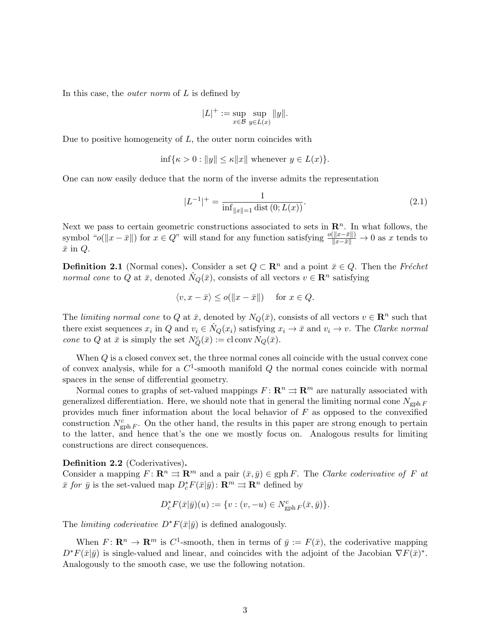In this case, the *outer norm* of  $L$  is defined by

$$
|L|^+ := \sup_{x \in \mathcal{B}} \sup_{y \in L(x)} \|y\|.
$$

Due to positive homogeneity of  $L$ , the outer norm coincides with

$$
\inf \{ \kappa > 0 : ||y|| \le \kappa ||x|| \text{ whenever } y \in L(x) \}.
$$

One can now easily deduce that the norm of the inverse admits the representation

$$
|L^{-1}|^{+} = \frac{1}{\inf_{\|x\|=1} \text{dist}(0; L(x))}.
$$
\n(2.1)

Next we pass to certain geometric constructions associated to sets in  $\mathbb{R}^n$ . In what follows, the symbol " $o(\Vert x - \bar{x} \Vert)$  for  $x \in Q$ " will stand for any function satisfying  $\frac{o(\Vert x - \bar{x} \Vert)}{\Vert x - \bar{x} \Vert} \to 0$  as x tends to  $\bar{x}$  in  $Q$ .

**Definition 2.1** (Normal cones). Consider a set  $Q \subset \mathbb{R}^n$  and a point  $\bar{x} \in Q$ . Then the Fréchet normal cone to Q at  $\bar{x}$ , denoted  $\hat{N}_Q(\bar{x})$ , consists of all vectors  $v \in \mathbb{R}^n$  satisfying

$$
\langle v, x - \bar{x} \rangle \le o(\|x - \bar{x}\|) \quad \text{for } x \in Q.
$$

The limiting normal cone to Q at  $\bar{x}$ , denoted by  $N_Q(\bar{x})$ , consists of all vectors  $v \in \mathbb{R}^n$  such that there exist sequences  $x_i$  in Q and  $v_i \in \hat{N}_Q(x_i)$  satisfying  $x_i \to \bar{x}$  and  $v_i \to v$ . The Clarke normal cone to Q at  $\bar{x}$  is simply the set  $N_Q^c(\bar{x}) := \text{cl} \operatorname{conv} N_Q(\bar{x})$ .

When Q is a closed convex set, the three normal cones all coincide with the usual convex cone of convex analysis, while for a  $C^1$ -smooth manifold Q the normal cones coincide with normal spaces in the sense of differential geometry.

Normal cones to graphs of set-valued mappings  $F: \mathbb{R}^n \rightrightarrows \mathbb{R}^m$  are naturally associated with generalized differentiation. Here, we should note that in general the limiting normal cone  $N_{\text{gph }F}$ provides much finer information about the local behavior of  $F$  as opposed to the convexified construction  $N_{\text{gph }F}^c$ . On the other hand, the results in this paper are strong enough to pertain to the latter, and hence that's the one we mostly focus on. Analogous results for limiting constructions are direct consequences.

#### Definition 2.2 (Coderivatives).

Consider a mapping  $F: \mathbf{R}^n \rightrightarrows \mathbf{R}^m$  and a pair  $(\bar{x}, \bar{y}) \in \text{gph } F$ . The Clarke coderivative of F at  $\bar{x}$  for  $\bar{y}$  is the set-valued map  $D_c^*F(\bar{x}|\bar{y})\colon \mathbf{R}^m \rightrightarrows \mathbf{R}^n$  defined by

$$
D_c^* F(\bar{x}|\bar{y})(u) := \{ v : (v, -u) \in N_{\operatorname{gph} F}^c(\bar{x}, \bar{y}) \}.
$$

The *limiting coderivative*  $D^*F(\bar{x}|\bar{y})$  is defined analogously.

When  $F: \mathbf{R}^n \to \mathbf{R}^m$  is  $C^1$ -smooth, then in terms of  $\bar{y} := F(\bar{x})$ , the coderivative mapping  $D^*F(\bar{x}|\bar{y})$  is single-valued and linear, and coincides with the adjoint of the Jacobian  $\nabla F(\bar{x})^*$ . Analogously to the smooth case, we use the following notation.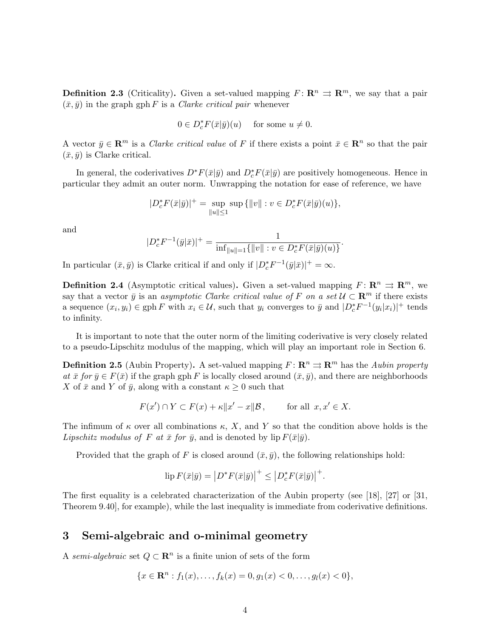**Definition 2.3** (Criticality). Given a set-valued mapping  $F: \mathbb{R}^n \Rightarrow \mathbb{R}^m$ , we say that a pair  $(\bar{x}, \bar{y})$  in the graph gph F is a *Clarke critical pair* whenever

$$
0\in D_c^*F(\bar x|\bar y)(u)\quad\text{ for some }u\neq 0.
$$

A vector  $\bar{y} \in \mathbb{R}^m$  is a *Clarke critical value* of F if there exists a point  $\bar{x} \in \mathbb{R}^n$  so that the pair  $(\bar{x}, \bar{y})$  is Clarke critical.

In general, the coderivatives  $D^*F(\bar{x}|\bar{y})$  and  $D_c^*F(\bar{x}|\bar{y})$  are positively homogeneous. Hence in particular they admit an outer norm. Unwrapping the notation for ease of reference, we have

$$
|D_c^*F(\bar{x}|\bar{y})|^+ = \sup_{\|u\| \le 1} \sup \{ \|v\| : v \in D_c^*F(\bar{x}|\bar{y})(u) \},\
$$

and

$$
|D_c^* F^{-1}(\bar{y}|\bar{x})|^+ = \frac{1}{\inf_{\|u\|=1} {\{\|v\| : v \in D_c^* F(\bar{x}|\bar{y})(u)\}}}
$$

.

In particular  $(\bar{x}, \bar{y})$  is Clarke critical if and only if  $|D_c^* F^{-1}(\bar{y}|\bar{x})|^+ = \infty$ .

**Definition 2.4** (Asymptotic critical values). Given a set-valued mapping  $F: \mathbb{R}^n \Rightarrow \mathbb{R}^m$ , we say that a vector  $\bar{y}$  is an asymptotic Clarke critical value of F on a set  $\mathcal{U} \subset \mathbb{R}^m$  if there exists a sequence  $(x_i, y_i) \in \text{gph } F$  with  $x_i \in \mathcal{U}$ , such that  $y_i$  converges to  $\bar{y}$  and  $|D_c^* F^{-1}(y_i | x_i)|^+$  tends to infinity.

It is important to note that the outer norm of the limiting coderivative is very closely related to a pseudo-Lipschitz modulus of the mapping, which will play an important role in Section 6.

**Definition 2.5** (Aubin Property). A set-valued mapping  $F: \mathbb{R}^n \Rightarrow \mathbb{R}^m$  has the Aubin property at  $\bar{x}$  for  $\bar{y} \in F(\bar{x})$  if the graph gph F is locally closed around  $(\bar{x}, \bar{y})$ , and there are neighborhoods X of  $\bar{x}$  and Y of  $\bar{y}$ , along with a constant  $\kappa \geq 0$  such that

$$
F(x') \cap Y \subset F(x) + \kappa \|x' - x\|\mathcal{B}, \quad \text{for all } x, x' \in X.
$$

The infimum of  $\kappa$  over all combinations  $\kappa$ , X, and Y so that the condition above holds is the Lipschitz modulus of F at  $\bar{x}$  for  $\bar{y}$ , and is denoted by lip  $F(\bar{x}|\bar{y})$ .

Provided that the graph of F is closed around  $(\bar{x}, \bar{y})$ , the following relationships hold:

$$
\operatorname{lip} F(\bar{x}|\bar{y}) = \left| D^* F(\bar{x}|\bar{y}) \right|^+ \le \left| D_c^* F(\bar{x}|\bar{y}) \right|^+.
$$

The first equality is a celebrated characterization of the Aubin property (see [18], [27] or [31, Theorem 9.40], for example), while the last inequality is immediate from coderivative definitions.

## 3 Semi-algebraic and o-minimal geometry

A semi-algebraic set  $Q \subset \mathbb{R}^n$  is a finite union of sets of the form

$$
\{x \in \mathbf{R}^n : f_1(x), \dots, f_k(x) = 0, g_1(x) < 0, \dots, g_l(x) < 0\},\
$$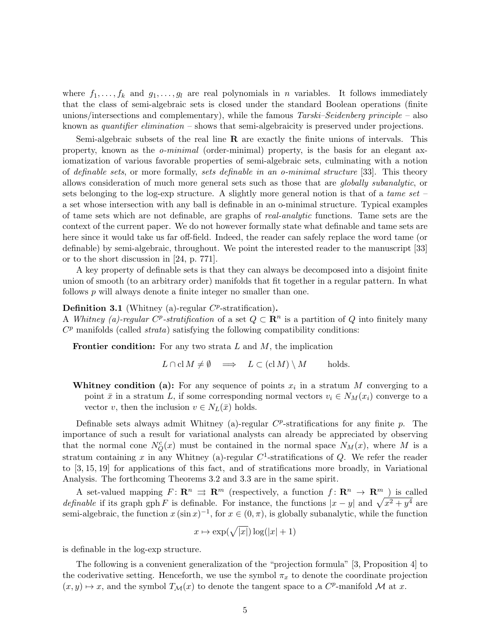where  $f_1, \ldots, f_k$  and  $g_1, \ldots, g_l$  are real polynomials in n variables. It follows immediately that the class of semi-algebraic sets is closed under the standard Boolean operations (finite unions/intersections and complementary), while the famous  $Tarski-Seidenberg principle - also$ known as *quantifier elimination* – shows that semi-algebraicity is preserved under projections.

Semi-algebraic subsets of the real line R are exactly the finite unions of intervals. This property, known as the o-minimal (order-minimal) property, is the basis for an elegant axiomatization of various favorable properties of semi-algebraic sets, culminating with a notion of definable sets, or more formally, sets definable in an o-minimal structure [33]. This theory allows consideration of much more general sets such as those that are globally subanalytic, or sets belonging to the log-exp structure. A slightly more general notion is that of a tame set – a set whose intersection with any ball is definable in an o-minimal structure. Typical examples of tame sets which are not definable, are graphs of real-analytic functions. Tame sets are the context of the current paper. We do not however formally state what definable and tame sets are here since it would take us far off-field. Indeed, the reader can safely replace the word tame (or definable) by semi-algebraic, throughout. We point the interested reader to the manuscript [33] or to the short discussion in [24, p. 771].

A key property of definable sets is that they can always be decomposed into a disjoint finite union of smooth (to an arbitrary order) manifolds that fit together in a regular pattern. In what follows  $p$  will always denote a finite integer no smaller than one.

#### **Definition 3.1** (Whitney (a)-regular  $C^p$ -stratification).

A Whitney (a)-regular C<sup>p</sup>-stratification of a set  $Q \subset \mathbb{R}^n$  is a partition of Q into finitely many  $C<sup>p</sup>$  manifolds (called *strata*) satisfying the following compatibility conditions:

**Frontier condition:** For any two strata  $L$  and  $M$ , the implication

$$
L \cap \text{cl } M \neq \emptyset \implies L \subset (\text{cl } M) \setminus M \quad \text{holds.}
$$

Whitney condition (a): For any sequence of points  $x_i$  in a stratum M converging to a point  $\bar{x}$  in a stratum L, if some corresponding normal vectors  $v_i \in N_M(x_i)$  converge to a vector v, then the inclusion  $v \in N_L(\bar{x})$  holds.

Definable sets always admit Whitney (a)-regular  $C^p$ -stratifications for any finite  $p$ . The importance of such a result for variational analysts can already be appreciated by observing that the normal cone  $N_Q^c(x)$  must be contained in the normal space  $N_M(x)$ , where M is a stratum containing x in any Whitney (a)-regular  $C^1$ -stratifications of Q. We refer the reader to [3, 15, 19] for applications of this fact, and of stratifications more broadly, in Variational Analysis. The forthcoming Theorems 3.2 and 3.3 are in the same spirit.

A set-valued mapping  $F: \mathbb{R}^n \Rightarrow \mathbb{R}^m$  (respectively, a function  $f: \mathbb{R}^n \to \mathbb{R}^m$ ) is called *definable* if its graph gph F is definable. For instance, the functions  $|x - y|$  and  $\sqrt{x^2 + y^4}$  are semi-algebraic, the function  $x(\sin x)^{-1}$ , for  $x \in (0, \pi)$ , is globally subanalytic, while the function

$$
x \mapsto \exp(\sqrt{|x|}) \log(|x|+1)
$$

is definable in the log-exp structure.

The following is a convenient generalization of the "projection formula" [3, Proposition 4] to the coderivative setting. Henceforth, we use the symbol  $\pi_x$  to denote the coordinate projection  $(x, y) \mapsto x$ , and the symbol  $T_M(x)$  to denote the tangent space to a  $C^p$ -manifold M at x.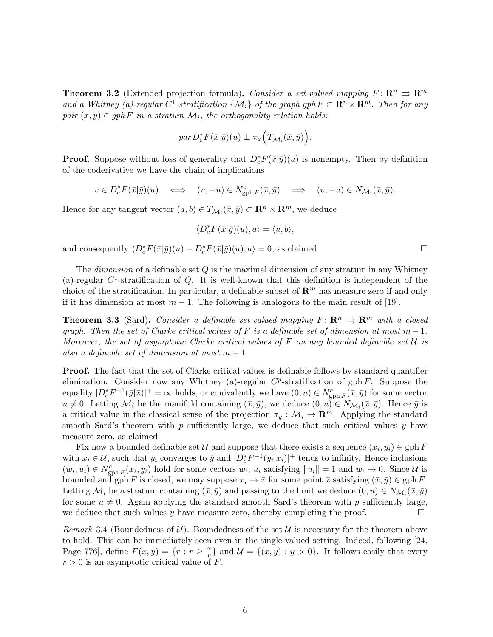**Theorem 3.2** (Extended projection formula). Consider a set-valued mapping  $F: \mathbb{R}^n \Rightarrow \mathbb{R}^m$ and a Whitney (a)-regular  $C^1$ -stratification  $\{\mathcal{M}_i\}$  of the graph gph  $F \subset \mathbf{R}^n \times \mathbf{R}^m$ . Then for any pair  $(\bar{x}, \bar{y}) \in gph F$  in a stratum  $\mathcal{M}_i$ , the orthogonality relation holds:

$$
par D_c^* F(\bar{x}|\bar{y})(u) \perp \pi_x \Big( T_{\mathcal{M}_i}(\bar{x}, \bar{y}) \Big).
$$

**Proof.** Suppose without loss of generality that  $D_c^*F(\bar{x}|\bar{y})(u)$  is nonempty. Then by definition of the coderivative we have the chain of implications

$$
v\in D_c^*F(\bar x|\bar y)(u)\quad\Longleftrightarrow\quad (v,-u)\in N^c_{\operatorname{gph} F}(\bar x,\bar y)\quad\Longrightarrow\quad (v,-u)\in N_{\mathcal M_i}(\bar x,\bar y).
$$

Hence for any tangent vector  $(a, b) \in T_{\mathcal{M}_i}(\bar{x}, \bar{y}) \subset \mathbb{R}^n \times \mathbb{R}^m$ , we deduce

$$
\langle D_c^*F(\bar{x}|\bar{y})(u),a\rangle=\langle u,b\rangle,
$$

and consequently  $\langle D_c^* F(\bar{x}|\bar{y})(u) - D_c^* F(\bar{x}|\bar{y})(u), a \rangle = 0$ , as claimed.

The *dimension* of a definable set Q is the maximal dimension of any stratum in any Whitney (a)-regular  $C^1$ -stratification of Q. It is well-known that this definition is independent of the choice of the stratification. In particular, a definable subset of  $\mathbb{R}^m$  has measure zero if and only if it has dimension at most  $m-1$ . The following is analogous to the main result of [19].

**Theorem 3.3** (Sard). Consider a definable set-valued mapping  $F: \mathbb{R}^n \Rightarrow \mathbb{R}^m$  with a closed graph. Then the set of Clarke critical values of F is a definable set of dimension at most  $m-1$ . Moreover, the set of asymptotic Clarke critical values of F on any bounded definable set  $\mathcal U$  is also a definable set of dimension at most  $m-1$ .

**Proof.** The fact that the set of Clarke critical values is definable follows by standard quantifier elimination. Consider now any Whitney (a)-regular  $C^p$ -stratification of gph F. Suppose the equality  $|D_c^* F^{-1}(\bar{y}|\bar{x})|^+=\infty$  holds, or equivalently we have  $(0, u) \in N_{\text{gph }F}^c(\bar{x}, \bar{y})$  for some vector  $u \neq 0$ . Letting  $\mathcal{M}_i$  be the manifold containing  $(\bar{x}, \bar{y})$ , we deduce  $(0, u) \in N_{\mathcal{M}_i}(\bar{x}, \bar{y})$ . Hence  $\bar{y}$  is a critical value in the classical sense of the projection  $\pi_y : \mathcal{M}_i \to \mathbb{R}^m$ . Applying the standard smooth Sard's theorem with p sufficiently large, we deduce that such critical values  $\bar{y}$  have measure zero, as claimed.

Fix now a bounded definable set  $\mathcal U$  and suppose that there exists a sequence  $(x_i, y_i) \in \text{gph } F$ with  $x_i \in \mathcal{U}$ , such that  $y_i$  converges to  $\bar{y}$  and  $|D_c^* F^{-1}(y_i | x_i)|^+$  tends to infinity. Hence inclusions  $(w_i, u_i) \in N_{\text{gph}}^c F(x_i, y_i)$  hold for some vectors  $w_i, u_i$  satisfying  $||u_i|| = 1$  and  $w_i \to 0$ . Since U is bounded and gph F is closed, we may suppose  $x_i \to \bar{x}$  for some point  $\bar{x}$  satisfying  $(\bar{x}, \bar{y}) \in \text{gph } F$ . Letting  $\mathcal{M}_i$  be a stratum containing  $(\bar{x}, \bar{y})$  and passing to the limit we deduce  $(0, u) \in N_{\mathcal{M}_i}(\bar{x}, \bar{y})$ for some  $u \neq 0$ . Again applying the standard smooth Sard's theorem with p sufficiently large, we deduce that such values  $\bar{y}$  have measure zero, thereby completing the proof.

Remark 3.4 (Boundedness of  $\mathcal{U}$ ). Boundedness of the set  $\mathcal{U}$  is necessary for the theorem above to hold. This can be immediately seen even in the single-valued setting. Indeed, following [24, Page 776, define  $F(x,y) = \{r : r \geq \frac{x}{y}\}$  $\frac{x}{y}$  and  $\mathcal{U} = \{(x, y) : y > 0\}$ . It follows easily that every  $r > 0$  is an asymptotic critical value of F.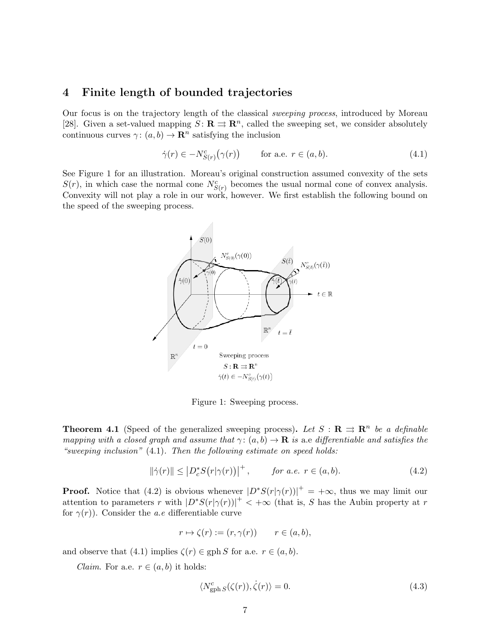## 4 Finite length of bounded trajectories

Our focus is on the trajectory length of the classical sweeping process, introduced by Moreau [28]. Given a set-valued mapping  $S: \mathbf{R} \rightrightarrows \mathbf{R}^n$ , called the sweeping set, we consider absolutely continuous curves  $\gamma: (a, b) \to \mathbb{R}^n$  satisfying the inclusion

$$
\dot{\gamma}(r) \in -N_{S(r)}^c(\gamma(r)) \qquad \text{for a.e. } r \in (a, b). \tag{4.1}
$$

See Figure 1 for an illustration. Moreau's original construction assumed convexity of the sets  $S(r)$ , in which case the normal cone  $N_{S(r)}^c$  becomes the usual normal cone of convex analysis. Convexity will not play a role in our work, however. We first establish the following bound on the speed of the sweeping process.



Figure 1: Sweeping process.

**Theorem 4.1** (Speed of the generalized sweeping process). Let  $S : \mathbb{R} \implies \mathbb{R}^n$  be a definable mapping with a closed graph and assume that  $\gamma: (a, b) \to \mathbf{R}$  is a.e differentiable and satisfies the "sweeping inclusion"  $(4.1)$ . Then the following estimate on speed holds:

$$
\|\dot{\gamma}(r)\| \le |D_c^* S(r|\gamma(r))|^+, \qquad \text{for a.e. } r \in (a, b). \tag{4.2}
$$

**Proof.** Notice that (4.2) is obvious whenever  $|D^*S(r|\gamma(r))|^+=+\infty$ , thus we may limit our attention to parameters r with  $|D^*S(r|\gamma(r))|^+$   $\lt +\infty$  (that is, S has the Aubin property at r for  $\gamma(r)$ ). Consider the *a.e* differentiable curve

$$
r \mapsto \zeta(r) := (r, \gamma(r)) \qquad r \in (a, b),
$$

and observe that (4.1) implies  $\zeta(r) \in \text{gph } S$  for a.e.  $r \in (a, b)$ .

*Claim.* For a.e.  $r \in (a, b)$  it holds:

$$
\langle N_{\text{gph }S}^c(\zeta(r)), \dot{\zeta}(r) \rangle = 0. \tag{4.3}
$$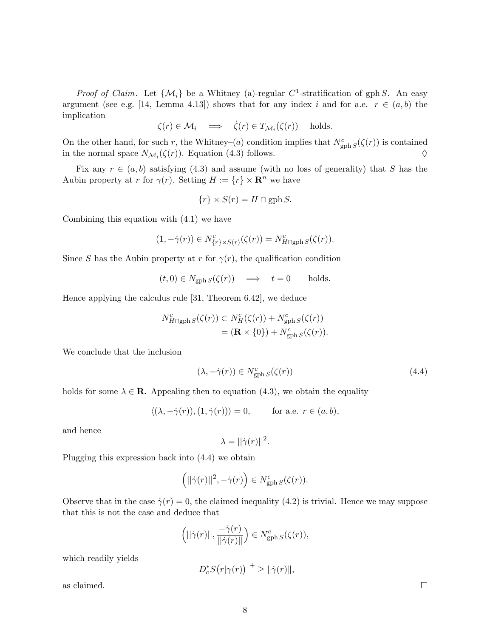*Proof of Claim.* Let  $\{M_i\}$  be a Whitney (a)-regular C<sup>1</sup>-stratification of gph S. An easy argument (see e.g. [14, Lemma 4.13]) shows that for any index i and for a.e.  $r \in (a, b)$  the implication

$$
\zeta(r) \in \mathcal{M}_i \quad \Longrightarrow \quad \dot{\zeta}(r) \in T_{\mathcal{M}_i}(\zeta(r)) \quad \text{ holds.}
$$

On the other hand, for such r, the Whitney–(a) condition implies that  $N_{\text{gph }S}^c(\zeta(r))$  is contained in the normal space  $N_{\mathcal{M}_i}(\zeta(r))$ . Equation (4.3) follows.  $\diamond$ 

Fix any  $r \in (a, b)$  satisfying (4.3) and assume (with no loss of generality) that S has the Aubin property at r for  $\gamma(r)$ . Setting  $H := \{r\} \times \mathbb{R}^n$  we have

$$
\{r\} \times S(r) = H \cap \text{gph } S.
$$

Combining this equation with (4.1) we have

$$
(1, -\dot{\gamma}(r)) \in N^c_{\{r\} \times S(r)}(\zeta(r)) = N^c_{H \cap \text{gph } S}(\zeta(r)).
$$

Since S has the Aubin property at r for  $\gamma(r)$ , the qualification condition

 $(t, 0) \in N_{\text{gph }S}(\zeta(r)) \implies t = 0$  holds.

Hence applying the calculus rule [31, Theorem 6.42], we deduce

$$
N_{H \cap \text{gph } S}^{c}(\zeta(r)) \subset N_{H}^{c}(\zeta(r)) + N_{\text{gph } S}^{c}(\zeta(r))
$$
  
=  $(\mathbf{R} \times \{0\}) + N_{\text{gph } S}^{c}(\zeta(r)).$ 

We conclude that the inclusion

$$
(\lambda, -\dot{\gamma}(r)) \in N_{\text{gph }S}^c(\zeta(r))
$$
\n(4.4)

holds for some  $\lambda \in \mathbb{R}$ . Appealing then to equation (4.3), we obtain the equality

$$
\langle (\lambda, -\dot{\gamma}(r)), (1, \dot{\gamma}(r)) \rangle = 0, \quad \text{for a.e. } r \in (a, b),
$$

and hence

$$
\lambda = ||\dot{\gamma}(r)||^2.
$$

Plugging this expression back into (4.4) we obtain

$$
(|\dot{\gamma}(r)||^2, -\dot{\gamma}(r)) \in N_{\text{gph }S}^c(\zeta(r)).
$$

Observe that in the case  $\dot{\gamma}(r) = 0$ , the claimed inequality (4.2) is trivial. Hence we may suppose that this is not the case and deduce that

$$
\left(||\dot{\gamma}(r)||, \frac{-\dot{\gamma}(r)}{||\dot{\gamma}(r)||}\right) \in N_{\text{gph }S}^c(\zeta(r)),
$$

which readily yields

$$
\left|D_c^*S(r|\gamma(r))\right|^+\geq \|\dot{\gamma}(r)\|,
$$

as claimed.  $\Box$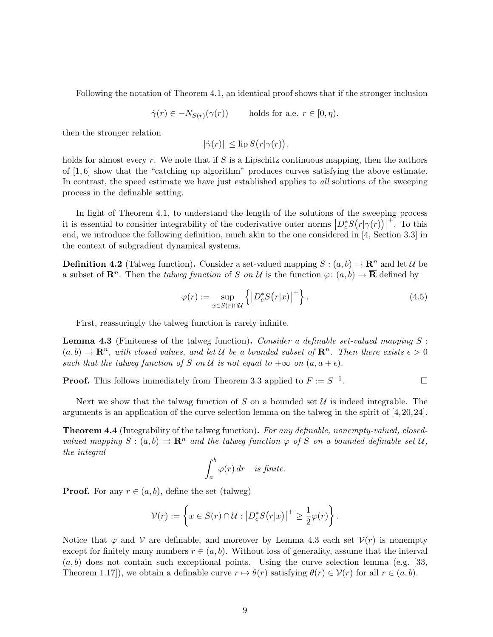Following the notation of Theorem 4.1, an identical proof shows that if the stronger inclusion

$$
\dot{\gamma}(r) \in -N_{S(r)}(\gamma(r)) \quad \text{holds for a.e. } r \in [0, \eta).
$$

then the stronger relation

$$
\|\dot{\gamma}(r)\| \leq \operatorname{lip} S(r|\gamma(r)).
$$

holds for almost every r. We note that if S is a Lipschitz continuous mapping, then the authors of  $[1, 6]$  show that the "catching up algorithm" produces curves satisfying the above estimate. In contrast, the speed estimate we have just established applies to *all* solutions of the sweeping process in the definable setting.

In light of Theorem 4.1, to understand the length of the solutions of the sweeping process it is essential to consider integrability of the coderivative outer norms  $\left|D_c^*S(r|\gamma(r))\right|$  $+$ . To this end, we introduce the following definition, much akin to the one considered in [4, Section 3.3] in the context of subgradient dynamical systems.

**Definition 4.2** (Talweg function). Consider a set-valued mapping  $S : (a, b) \rightrightarrows \mathbb{R}^n$  and let  $\mathcal{U}$  be a subset of  $\mathbf{R}^n$ . Then the *talweg function* of S on U is the function  $\varphi: (a, b) \to \mathbf{\overline{R}}$  defined by

$$
\varphi(r) := \sup_{x \in S(r) \cap \mathcal{U}} \left\{ \left| D_c^* S(r|x) \right|^+ \right\}.
$$
\n(4.5)

First, reassuringly the talweg function is rarely infinite.

**Lemma 4.3** (Finiteness of the talweg function). Consider a definable set-valued mapping  $S$ :  $(a, b) \Rightarrow \mathbb{R}^n$ , with closed values, and let U be a bounded subset of  $\mathbb{R}^n$ . Then there exists  $\epsilon > 0$ such that the talweg function of S on U is not equal to  $+\infty$  on  $(a, a + \epsilon)$ .

**Proof.** This follows immediately from Theorem 3.3 applied to  $F := S^{-1}$ . — Процессиональные просто производительные и производственными и производства и производства и производства <br>В производство производство производство производство производство производство производство производство прои

Next we show that the talwag function of S on a bounded set  $\mathcal U$  is indeed integrable. The arguments is an application of the curve selection lemma on the talweg in the spirit of [4,20,24].

**Theorem 4.4** (Integrability of the talweg function). For any definable, nonempty-valued, closedvalued mapping  $S : (a, b) \rightrightarrows \mathbb{R}^n$  and the talweg function  $\varphi$  of S on a bounded definable set U, the integral

$$
\int_a^b \varphi(r) \, dr \quad \text{is finite.}
$$

**Proof.** For any  $r \in (a, b)$ , define the set (talweg)

$$
\mathcal{V}(r) := \left\{ x \in S(r) \cap \mathcal{U} : \left| D_c^* S(r|x) \right|^+ \geq \frac{1}{2} \varphi(r) \right\}.
$$

Notice that  $\varphi$  and  $\mathcal V$  are definable, and moreover by Lemma 4.3 each set  $\mathcal V(r)$  is nonempty except for finitely many numbers  $r \in (a, b)$ . Without loss of generality, assume that the interval  $(a, b)$  does not contain such exceptional points. Using the curve selection lemma (e.g. [33, Theorem 1.17]), we obtain a definable curve  $r \mapsto \theta(r)$  satisfying  $\theta(r) \in \mathcal{V}(r)$  for all  $r \in (a, b)$ .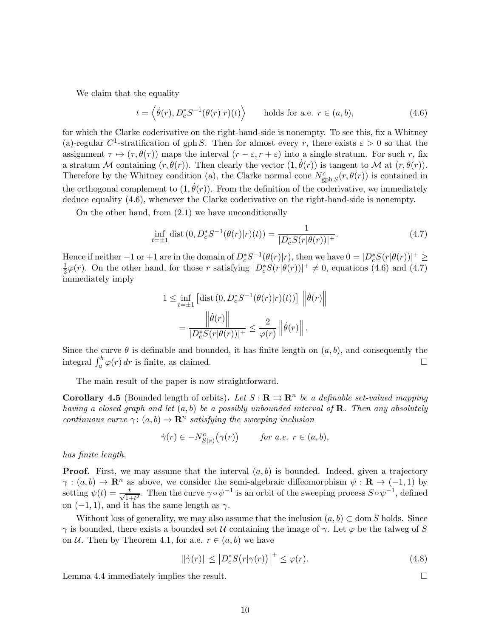We claim that the equality

$$
t = \langle \dot{\theta}(r), D_c^* S^{-1}(\theta(r)|r)(t) \rangle \quad \text{holds for a.e. } r \in (a, b), \tag{4.6}
$$

for which the Clarke coderivative on the right-hand-side is nonempty. To see this, fix a Whitney (a)-regular C<sup>1</sup>-stratification of gph S. Then for almost every r, there exists  $\varepsilon > 0$  so that the assignment  $\tau \mapsto (\tau, \theta(\tau))$  maps the interval  $(r - \varepsilon, r + \varepsilon)$  into a single stratum. For such r, fix a stratum M containing  $(r, \theta(r))$ . Then clearly the vector  $(1, \dot{\theta}(r))$  is tangent to M at  $(r, \theta(r))$ . Therefore by the Whitney condition (a), the Clarke normal cone  $N_{\text{gph S}}^c(r, \theta(r))$  is contained in the orthogonal complement to  $(1, \dot{\theta}(r))$ . From the definition of the coderivative, we immediately deduce equality (4.6), whenever the Clarke coderivative on the right-hand-side is nonempty.

On the other hand, from (2.1) we have unconditionally

$$
\inf_{t=\pm 1} \text{dist}\left(0, D_c^* S^{-1}(\theta(r)|r)(t)\right) = \frac{1}{|D_c^* S(r|\theta(r))|^+}.
$$
\n(4.7)

Hence if neither  $-1$  or  $+1$  are in the domain of  $D_c^* S^{-1}(\theta(r)|r)$ , then we have  $0 = |D_c^* S(r|\theta(r))|^+ \ge$ 1  $\frac{1}{2}\varphi(r)$ . On the other hand, for those r satisfying  $|D_c^*S(r|\theta(r))|^+ \neq 0$ , equations (4.6) and (4.7) immediately imply

$$
1 \le \inf_{t=\pm 1} \left[ \text{dist}\left(0, D_c^* S^{-1}(\theta(r)|r)(t)\right) \right] \left\| \dot{\theta}(r) \right\|
$$

$$
= \frac{\left\| \dot{\theta}(r) \right\|}{|D_c^* S(r|\theta(r))|^+} \le \frac{2}{\varphi(r)} \left\| \dot{\theta}(r) \right\|.
$$

Since the curve  $\theta$  is definable and bounded, it has finite length on  $(a, b)$ , and consequently the integral  $\int_a^b \varphi(r) dr$  is finite, as claimed.

The main result of the paper is now straightforward.

**Corollary 4.5** (Bounded length of orbits). Let  $S : \mathbb{R} \rightrightarrows \mathbb{R}^n$  be a definable set-valued mapping having a closed graph and let  $(a, b)$  be a possibly unbounded interval of **R**. Then any absolutely continuous curve  $\gamma: (a, b) \to \mathbb{R}^n$  satisfying the sweeping inclusion

$$
\dot{\gamma}(r) \in -N_{S(r)}^c(\gamma(r)) \quad \text{for a.e. } r \in (a, b),
$$

has finite length.

**Proof.** First, we may assume that the interval  $(a, b)$  is bounded. Indeed, given a trajectory  $\gamma : (a, b) \to \mathbb{R}^n$  as above, we consider the semi-algebraic diffeomorphism  $\psi : \mathbb{R} \to (-1, 1)$  by setting  $\psi(t) = \frac{t}{\sqrt{1}}$  $\frac{t}{1+t^2}$ . Then the curve  $\gamma \circ \psi^{-1}$  is an orbit of the sweeping process  $S \circ \psi^{-1}$ , defined on  $(-1, 1)$ , and it has the same length as  $\gamma$ .

Without loss of generality, we may also assume that the inclusion  $(a, b) \subset \text{dom } S$  holds. Since  $\gamma$  is bounded, there exists a bounded set U containing the image of  $\gamma$ . Let  $\varphi$  be the talweg of S on U. Then by Theorem 4.1, for a.e.  $r \in (a, b)$  we have

$$
\|\dot{\gamma}(r)\| \le |D_c^* S(r|\gamma(r))|^+ \le \varphi(r). \tag{4.8}
$$

Lemma 4.4 immediately implies the result.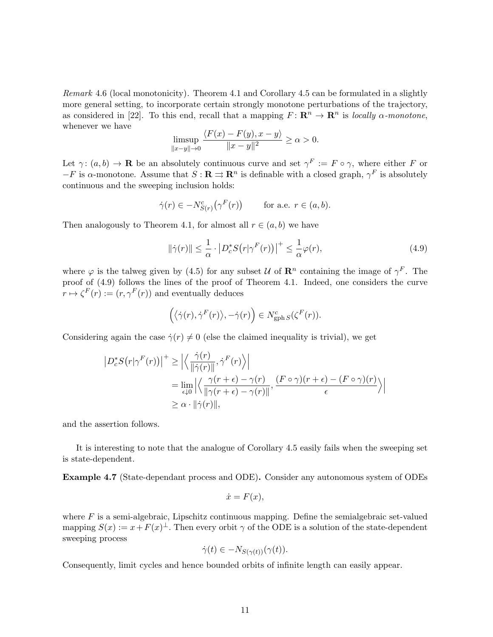Remark 4.6 (local monotonicity). Theorem 4.1 and Corollary 4.5 can be formulated in a slightly more general setting, to incorporate certain strongly monotone perturbations of the trajectory, as considered in [22]. To this end, recall that a mapping  $F: \mathbb{R}^n \to \mathbb{R}^n$  is locally  $\alpha$ -monotone, whenever we have

$$
\limsup_{\|x-y\|\to 0} \frac{\langle F(x) - F(y), x - y \rangle}{\|x-y\|^2} \ge \alpha > 0.
$$

Let  $\gamma: (a, b) \to \mathbf{R}$  be an absolutely continuous curve and set  $\gamma^F := F \circ \gamma$ , where either F or  $-F$  is  $\alpha$ -monotone. Assume that  $S: \mathbf{R} \rightrightarrows \mathbf{R}^n$  is definable with a closed graph,  $\gamma^F$  is absolutely continuous and the sweeping inclusion holds:

$$
\dot{\gamma}(r) \in -N_{S(r)}^c(\gamma^F(r)) \quad \text{for a.e. } r \in (a, b).
$$

Then analogously to Theorem 4.1, for almost all  $r \in (a, b)$  we have

$$
\|\dot{\gamma}(r)\| \le \frac{1}{\alpha} \cdot \left| D_c^* S(r|\gamma^F(r)) \right|^+ \le \frac{1}{\alpha} \varphi(r),\tag{4.9}
$$

where  $\varphi$  is the talweg given by (4.5) for any subset U of  $\mathbb{R}^n$  containing the image of  $\gamma^F$ . The proof of (4.9) follows the lines of the proof of Theorem 4.1. Indeed, one considers the curve  $r \mapsto \zeta^F(r) := (r, \gamma^F(r))$  and eventually deduces

$$
(\langle \dot{\gamma}(r), \dot{\gamma}^F(r) \rangle, -\dot{\gamma}(r)) \in N^c_{\operatorname{gph} S}(\zeta^F(r)).
$$

Considering again the case  $\dot{\gamma}(r) \neq 0$  (else the claimed inequality is trivial), we get

$$
\left| D_c^* S(r|\gamma^F(r)) \right|^+ \ge \left| \left\langle \frac{\dot{\gamma}(r)}{\|\dot{\gamma}(r)\|}, \dot{\gamma}^F(r) \right\rangle \right|
$$
  
= 
$$
\lim_{\epsilon \downarrow 0} \left| \left\langle \frac{\gamma(r+\epsilon) - \gamma(r)}{\|\gamma(r+\epsilon) - \gamma(r)\|}, \frac{(F \circ \gamma)(r+\epsilon) - (F \circ \gamma)(r)}{\epsilon} \right\rangle \right|
$$
  

$$
\ge \alpha \cdot \|\dot{\gamma}(r)\|,
$$

and the assertion follows.

It is interesting to note that the analogue of Corollary 4.5 easily fails when the sweeping set is state-dependent.

Example 4.7 (State-dependant process and ODE). Consider any autonomous system of ODEs

$$
\dot{x} = F(x),
$$

where  $F$  is a semi-algebraic, Lipschitz continuous mapping. Define the semialgebraic set-valued mapping  $S(x) := x + F(x)^{\perp}$ . Then every orbit  $\gamma$  of the ODE is a solution of the state-dependent sweeping process

$$
\dot{\gamma}(t) \in -N_{S(\gamma(t))}(\gamma(t)).
$$

Consequently, limit cycles and hence bounded orbits of infinite length can easily appear.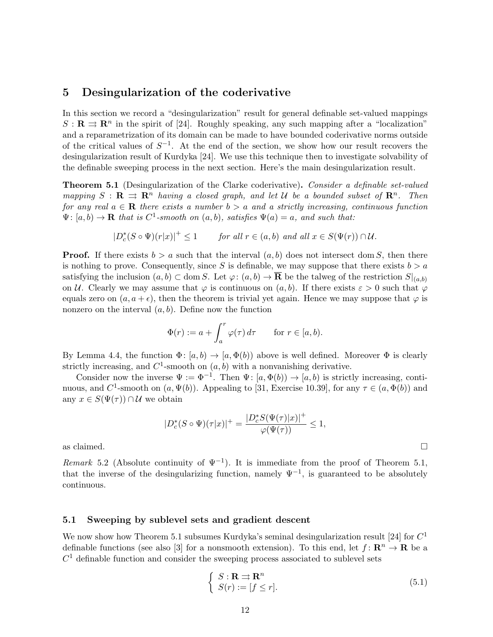### 5 Desingularization of the coderivative

In this section we record a "desingularization" result for general definable set-valued mappings  $S: \mathbf{R} \rightrightarrows \mathbf{R}^n$  in the spirit of [24]. Roughly speaking, any such mapping after a "localization" and a reparametrization of its domain can be made to have bounded coderivative norms outside of the critical values of  $S^{-1}$ . At the end of the section, we show how our result recovers the desingularization result of Kurdyka [24]. We use this technique then to investigate solvability of the definable sweeping process in the next section. Here's the main desingularization result.

**Theorem 5.1** (Desingularization of the Clarke coderivative). Consider a definable set-valued mapping  $S : \mathbf{R} \implies \mathbf{R}^n$  having a closed graph, and let U be a bounded subset of  $\mathbf{R}^n$ . Then for any real  $a \in \mathbf{R}$  there exists a number  $b > a$  and a strictly increasing, continuous function  $\Psi: [a, b) \to \mathbf{R}$  that is  $C^1$ -smooth on  $(a, b)$ , satisfies  $\Psi(a) = a$ , and such that:

$$
|D_c^*(S \circ \Psi)(r|x)|^+ \le 1 \qquad \text{for all } r \in (a, b) \text{ and all } x \in S(\Psi(r)) \cap \mathcal{U}.
$$

**Proof.** If there exists  $b > a$  such that the interval  $(a, b)$  does not intersect dom S, then there is nothing to prove. Consequently, since S is definable, we may suppose that there exists  $b > a$ satisfying the inclusion  $(a, b) \subset \text{dom } S$ . Let  $\varphi: (a, b) \to \overline{\mathbf{R}}$  be the talweg of the restriction  $S|_{(a,b)}$ on U. Clearly we may assume that  $\varphi$  is continuous on  $(a, b)$ . If there exists  $\varepsilon > 0$  such that  $\varphi$ equals zero on  $(a, a + \epsilon)$ , then the theorem is trivial yet again. Hence we may suppose that  $\varphi$  is nonzero on the interval  $(a, b)$ . Define now the function

$$
\Phi(r) := a + \int_a^r \varphi(\tau) d\tau \quad \text{for } r \in [a, b).
$$

By Lemma 4.4, the function  $\Phi: [a, b) \to [a, \Phi(b)]$  above is well defined. Moreover  $\Phi$  is clearly strictly increasing, and  $C^1$ -smooth on  $(a, b)$  with a nonvanishing derivative.

Consider now the inverse  $\Psi := \Phi^{-1}$ . Then  $\Psi : [a, \Phi(b)) \to [a, b)$  is strictly increasing, continuous, and C<sup>1</sup>-smooth on  $(a, \Psi(b))$ . Appealing to [31, Exercise 10.39], for any  $\tau \in (a, \Phi(b))$  and any  $x \in S(\Psi(\tau)) \cap \mathcal{U}$  we obtain

$$
|D_c^*(S \circ \Psi)(\tau|x)|^+ = \frac{|D_c^* S(\Psi(\tau)|x)|^+}{\varphi(\Psi(\tau))} \le 1,
$$

as claimed.  $\Box$ 

Remark 5.2 (Absolute continuity of  $\Psi^{-1}$ ). It is immediate from the proof of Theorem 5.1, that the inverse of the desingularizing function, namely  $\Psi^{-1}$ , is guaranteed to be absolutely continuous.

#### 5.1 Sweeping by sublevel sets and gradient descent

We now show how Theorem 5.1 subsumes Kurdyka's seminal desingularization result [24] for  $C^1$ definable functions (see also [3] for a nonsmooth extension). To this end, let  $f: \mathbb{R}^n \to \mathbb{R}$  be a  $C<sup>1</sup>$  definable function and consider the sweeping process associated to sublevel sets

$$
\begin{cases}\nS: \mathbf{R} \implies \mathbf{R}^n \\
S(r) := [f \le r].\n\end{cases} (5.1)
$$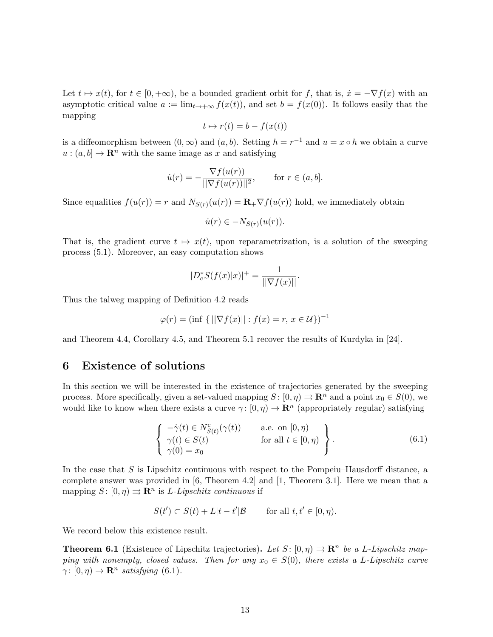Let  $t \mapsto x(t)$ , for  $t \in [0, +\infty)$ , be a bounded gradient orbit for f, that is,  $\dot{x} = -\nabla f(x)$  with an asymptotic critical value  $a := \lim_{t \to +\infty} f(x(t))$ , and set  $b = f(x(0))$ . It follows easily that the mapping

$$
t\mapsto r(t)=b-f(x(t))
$$

is a diffeomorphism between  $(0, \infty)$  and  $(a, b)$ . Setting  $h = r^{-1}$  and  $u = x \circ h$  we obtain a curve  $u:(a, b] \to \mathbb{R}^n$  with the same image as x and satisfying

$$
\dot{u}(r) = -\frac{\nabla f(u(r))}{\|\nabla f(u(r))\|^2}, \quad \text{for } r \in (a, b].
$$

Since equalities  $f(u(r)) = r$  and  $N_{S(r)}(u(r)) = \mathbf{R}_+ \nabla f(u(r))$  hold, we immediately obtain

$$
\dot{u}(r) \in -N_{S(r)}(u(r)).
$$

That is, the gradient curve  $t \mapsto x(t)$ , upon reparametrization, is a solution of the sweeping process (5.1). Moreover, an easy computation shows

$$
|D_c^*S(f(x)|x)|^+ = \frac{1}{||\nabla f(x)||}.
$$

Thus the talweg mapping of Definition 4.2 reads

$$
\varphi(r) = (\inf \{ ||\nabla f(x)|| : f(x) = r, x \in U \})^{-1}
$$

and Theorem 4.4, Corollary 4.5, and Theorem 5.1 recover the results of Kurdyka in [24].

# 6 Existence of solutions

In this section we will be interested in the existence of trajectories generated by the sweeping process. More specifically, given a set-valued mapping  $S: [0, \eta) \rightrightarrows \mathbb{R}^n$  and a point  $x_0 \in S(0)$ , we would like to know when there exists a curve  $\gamma: [0, \eta) \to \mathbb{R}^n$  (appropriately regular) satisfying

$$
\begin{cases}\n-\dot{\gamma}(t) \in N_{S(t)}^{c}(\gamma(t)) & \text{a.e. on } [0, \eta) \\
\gamma(t) \in S(t) & \text{for all } t \in [0, \eta) \\
\gamma(0) = x_{0}\n\end{cases}
$$
\n(6.1)

In the case that  $S$  is Lipschitz continuous with respect to the Pompeiu–Hausdorff distance, a complete answer was provided in [6, Theorem 4.2] and [1, Theorem 3.1]. Here we mean that a mapping  $S: [0, \eta) \rightrightarrows \mathbb{R}^n$  is *L*-*Lipschitz continuous* if

$$
S(t') \subset S(t) + L|t - t'|B \qquad \text{for all } t, t' \in [0, \eta).
$$

We record below this existence result.

**Theorem 6.1** (Existence of Lipschitz trajectories). Let  $S: [0, \eta) \implies \mathbb{R}^n$  be a L-Lipschitz mapping with nonempty, closed values. Then for any  $x_0 \in S(0)$ , there exists a L-Lipschitz curve  $\gamma: [0, \eta) \to \mathbf{R}^n$  satisfying (6.1).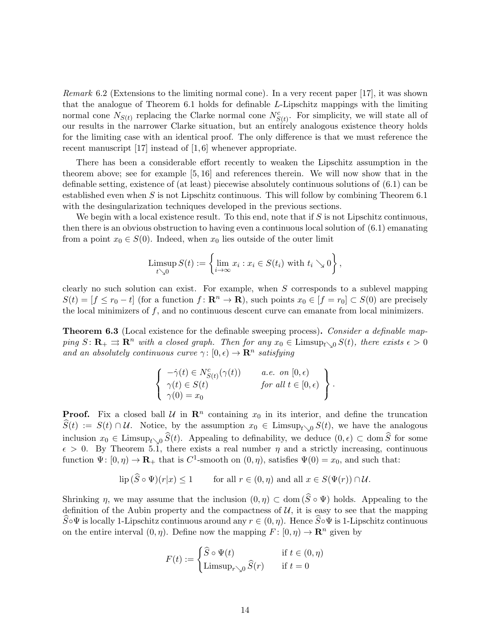Remark 6.2 (Extensions to the limiting normal cone). In a very recent paper [17], it was shown that the analogue of Theorem 6.1 holds for definable L-Lipschitz mappings with the limiting normal cone  $N_{S(t)}$  replacing the Clarke normal cone  $N_{S(t)}^c$ . For simplicity, we will state all of our results in the narrower Clarke situation, but an entirely analogous existence theory holds for the limiting case with an identical proof. The only difference is that we must reference the recent manuscript [17] instead of [1, 6] whenever appropriate.

There has been a considerable effort recently to weaken the Lipschitz assumption in the theorem above; see for example [5, 16] and references therein. We will now show that in the definable setting, existence of (at least) piecewise absolutely continuous solutions of (6.1) can be established even when  $S$  is not Lipschitz continuous. This will follow by combining Theorem 6.1 with the desingularization techniques developed in the previous sections.

We begin with a local existence result. To this end, note that if  $S$  is not Lipschitz continuous, then there is an obvious obstruction to having even a continuous local solution of (6.1) emanating from a point  $x_0 \in S(0)$ . Indeed, when  $x_0$  lies outside of the outer limit

$$
\limsup_{t\searrow 0} S(t) := \left\{ \lim_{i\to\infty} x_i : x_i \in S(t_i) \text{ with } t_i \searrow 0 \right\},\
$$

clearly no such solution can exist. For example, when  $S$  corresponds to a sublevel mapping  $S(t) = [f \le r_0 - t]$  (for a function  $f: \mathbf{R}^n \to \mathbf{R}$ ), such points  $x_0 \in [f = r_0] \subset S(0)$  are precisely the local minimizers of  $f$ , and no continuous descent curve can emanate from local minimizers.

Theorem 6.3 (Local existence for the definable sweeping process). Consider a definable mapping  $S: \mathbf{R}_{+} \rightrightarrows \mathbf{R}^{n}$  with a closed graph. Then for any  $x_{0} \in \text{Limsup}_{t \searrow 0} S(t)$ , there exists  $\epsilon > 0$ and an absolutely continuous curve  $\gamma : [0, \epsilon) \to \mathbb{R}^n$  satisfying

$$
\left\{\begin{array}{ll}\n-\dot{\gamma}(t) \in N^c_{S(t)}(\gamma(t)) & a.e. \text{ on } [0, \epsilon) \\
\gamma(t) \in S(t) & \text{ for all } t \in [0, \epsilon) \\
\gamma(0) = x_0\n\end{array}\right\}.
$$

**Proof.** Fix a closed ball  $\mathcal{U}$  in  $\mathbb{R}^n$  containing  $x_0$  in its interior, and define the truncation  $S(t) := S(t) \cap \mathcal{U}$ . Notice, by the assumption  $x_0 \in \text{Limsup}_{t \setminus 0} S(t)$ , we have the analogous inclusion  $x_0 \in \text{Limsup}_{t\setminus0} \widehat{S}(t)$ . Appealing to definability, we deduce  $(0, \epsilon) \subset \text{dom } \widehat{S}$  for some  $\epsilon > 0$ . By Theorem 5.1, there exists a real number  $\eta$  and a strictly increasing, continuous function  $\Psi: [0, \eta) \to \mathbf{R}_+$  that is  $C^1$ -smooth on  $(0, \eta)$ , satisfies  $\Psi(0) = x_0$ , and such that:

$$
\text{lip}\,(\widehat{S}\circ\Psi)(r|x)\leq 1\qquad\text{for all }r\in(0,\eta)\text{ and all }x\in S(\Psi(r))\cap\mathcal{U}.
$$

Shrinking  $\eta$ , we may assume that the inclusion  $(0, \eta) \subset \text{dom}(\widehat{S} \circ \Psi)$  holds. Appealing to the definition of the Aubin property and the compactness of  $U$ , it is easy to see that the mapping  $\overline{S}\circ\Psi$  is locally 1-Lipschitz continuous around any  $r \in (0, \eta)$ . Hence  $\overline{S}\circ\Psi$  is 1-Lipschitz continuous on the entire interval  $(0, \eta)$ . Define now the mapping  $F : [0, \eta) \to \mathbb{R}^n$  given by

$$
F(t) := \begin{cases} \widehat{S} \circ \Psi(t) & \text{if } t \in (0, \eta) \\ \text{Limsup}_{r \searrow 0} \widehat{S}(r) & \text{if } t = 0 \end{cases}
$$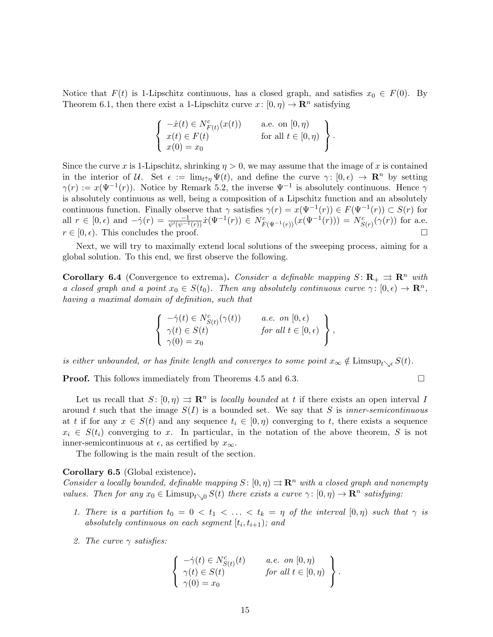Notice that  $F(t)$  is 1-Lipschitz continuous, has a closed graph, and satisfies  $x_0 \in F(0)$ . By Theorem 6.1, then there exist a 1-Lipschitz curve  $x: [0, \eta) \to \mathbb{R}^n$  satisfying

$$
\begin{cases}\n-\dot{x}(t) \in N_{F(t)}^c(x(t)) & \text{a.e. on } [0, \eta) \\
x(t) \in F(t) & \text{for all } t \in [0, \eta) \\
x(0) = x_0\n\end{cases}.
$$

Since the curve x is 1-Lipschitz, shrinking  $\eta > 0$ , we may assume that the image of x is contained in the interior of U. Set  $\epsilon := \lim_{t \uparrow n} \Psi(t)$ , and define the curve  $\gamma : [0, \epsilon) \to \mathbb{R}^n$  by setting  $\gamma(r) := x(\Psi^{-1}(r))$ . Notice by Remark 5.2, the inverse  $\Psi^{-1}$  is absolutely continuous. Hence  $\gamma$ is absolutely continuous as well, being a composition of a Lipschitz function and an absolutely continuous function. Finally observe that  $\gamma$  satisfies  $\gamma(r) = x(\Psi^{-1}(r)) \in F(\Psi^{-1}(r)) \subset S(r)$  for all  $r \in [0, \epsilon)$  and  $-\dot{\gamma}(r) = \frac{-1}{\psi'(\psi^{-1}(r))}\dot{x}(\Psi^{-1}(r)) \in N_{F(\Psi^{-1}(r))}^{c}(x(\Psi^{-1}(r))) = N_{S(r)}^{c}(\gamma(r))$  for a.e.  $r \in [0, \epsilon)$ . This concludes the proof.

Next, we will try to maximally extend local solutions of the sweeping process, aiming for a global solution. To this end, we first observe the following.

**Corollary 6.4** (Convergence to extrema). Consider a definable mapping  $S: \mathbb{R}_+ \implies \mathbb{R}^n$  with a closed graph and a point  $x_0 \in S(t_0)$ . Then any absolutely continuous curve  $\gamma: [0, \epsilon) \to \mathbb{R}^n$ , having a maximal domain of definition, such that

$$
\left\{\begin{array}{ll}\n-\dot{\gamma}(t) \in N^c_{S(t)}(\gamma(t)) & a.e. \text{ on } [0, \epsilon) \\
\gamma(t) \in S(t) & \text{ for all } t \in [0, \epsilon) \\
\gamma(0) = x_0\n\end{array}\right\},
$$

is either unbounded, or has finite length and converges to some point  $x_{\infty} \notin$  Limsup $_{t \setminus \epsilon} S(t)$ .

**Proof.** This follows immediately from Theorems 4.5 and 6.3. □

Let us recall that  $S: [0, \eta) \implies \mathbb{R}^n$  is locally bounded at t if there exists an open interval I around t such that the image  $S(I)$  is a bounded set. We say that S is inner-semicontinuous at t if for any  $x \in S(t)$  and any sequence  $t_i \in [0, \eta)$  converging to t, there exists a sequence  $x_i \in S(t_i)$  converging to x. In particular, in the notation of the above theorem, S is not inner-semicontinuous at  $\epsilon$ , as certified by  $x_{\infty}$ .

The following is the main result of the section.

#### Corollary 6.5 (Global existence).

Consider a locally bounded, definable mapping  $S: [0, \eta) \rightrightarrows \mathbb{R}^n$  with a closed graph and nonempty values. Then for any  $x_0 \in \text{Limsup}_{t \setminus 0} S(t)$  there exists a curve  $\gamma : [0, \eta) \to \mathbb{R}^n$  satisfying:

- 1. There is a partition  $t_0 = 0 < t_1 < \ldots < t_k = \eta$  of the interval  $[0, \eta)$  such that  $\gamma$  is absolutely continuous on each segment  $[t_i, t_{i+1})$ ; and
- 2. The curve  $\gamma$  satisfies:

$$
\left\{\begin{array}{ll}\n-\dot{\gamma}(t) \in N^c_{S(t)}(t) & a.e. \text{ on } [0, \eta) \\
\gamma(t) \in S(t) & \text{ for all } t \in [0, \eta) \\
\gamma(0) = x_0\n\end{array}\right\}.
$$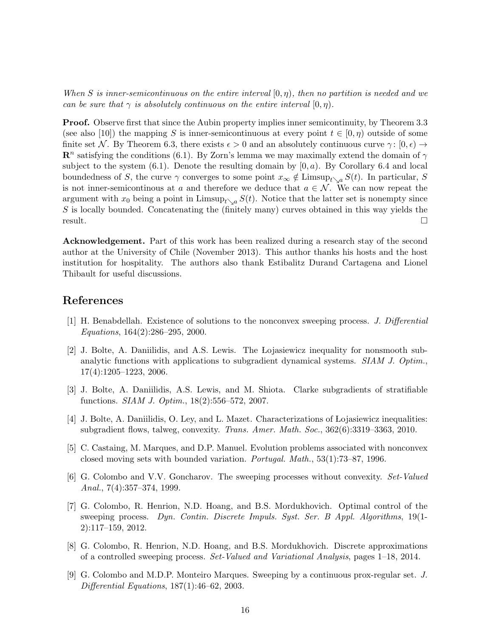When S is inner-semicontinuous on the entire interval  $[0, \eta)$ , then no partition is needed and we can be sure that  $\gamma$  is absolutely continuous on the entire interval  $[0, \eta)$ .

**Proof.** Observe first that since the Aubin property implies inner semicontinuity, by Theorem 3.3 (see also [10]) the mapping S is inner-semicontinuous at every point  $t \in [0, \eta)$  outside of some finite set N. By Theorem 6.3, there exists  $\epsilon > 0$  and an absolutely continuous curve  $\gamma : [0, \epsilon) \rightarrow$  $\mathbb{R}^n$  satisfying the conditions (6.1). By Zorn's lemma we may maximally extend the domain of  $\gamma$ subject to the system  $(6.1)$ . Denote the resulting domain by  $[0, a)$ . By Corollary 6.4 and local boundedness of S, the curve  $\gamma$  converges to some point  $x_{\infty} \notin$  Limsup<sub>t</sub><sub>\a</sub> S(t). In particular, S is not inner-semicontinous at a and therefore we deduce that  $a \in \mathcal{N}$ . We can now repeat the argument with  $x_0$  being a point in Limsup<sub>t</sub><sub>\a</sub>  $S(t)$ . Notice that the latter set is nonempty since  $S$  is locally bounded. Concatenating the (finitely many) curves obtained in this way yields the  $r$ esult.

Acknowledgement. Part of this work has been realized during a research stay of the second author at the University of Chile (November 2013). This author thanks his hosts and the host institution for hospitality. The authors also thank Estibalitz Durand Cartagena and Lionel Thibault for useful discussions.

### References

- [1] H. Benabdellah. Existence of solutions to the nonconvex sweeping process. J. Differential Equations, 164(2):286–295, 2000.
- [2] J. Bolte, A. Daniilidis, and A.S. Lewis. The Lojasiewicz inequality for nonsmooth subanalytic functions with applications to subgradient dynamical systems. SIAM J. Optim., 17(4):1205–1223, 2006.
- [3] J. Bolte, A. Daniilidis, A.S. Lewis, and M. Shiota. Clarke subgradients of stratifiable functions. SIAM J. Optim., 18(2):556–572, 2007.
- [4] J. Bolte, A. Daniilidis, O. Ley, and L. Mazet. Characterizations of Lojasiewicz inequalities: subgradient flows, talweg, convexity. Trans. Amer. Math. Soc., 362(6):3319–3363, 2010.
- [5] C. Castaing, M. Marques, and D.P. Manuel. Evolution problems associated with nonconvex closed moving sets with bounded variation. Portugal. Math., 53(1):73–87, 1996.
- [6] G. Colombo and V.V. Goncharov. The sweeping processes without convexity. Set-Valued Anal.,  $7(4):357-374$ , 1999.
- [7] G. Colombo, R. Henrion, N.D. Hoang, and B.S. Mordukhovich. Optimal control of the sweeping process. Dyn. Contin. Discrete Impuls. Syst. Ser. B Appl. Algorithms, 19(1- 2):117–159, 2012.
- [8] G. Colombo, R. Henrion, N.D. Hoang, and B.S. Mordukhovich. Discrete approximations of a controlled sweeping process. Set-Valued and Variational Analysis, pages 1–18, 2014.
- [9] G. Colombo and M.D.P. Monteiro Marques. Sweeping by a continuous prox-regular set. J. Differential Equations, 187(1):46–62, 2003.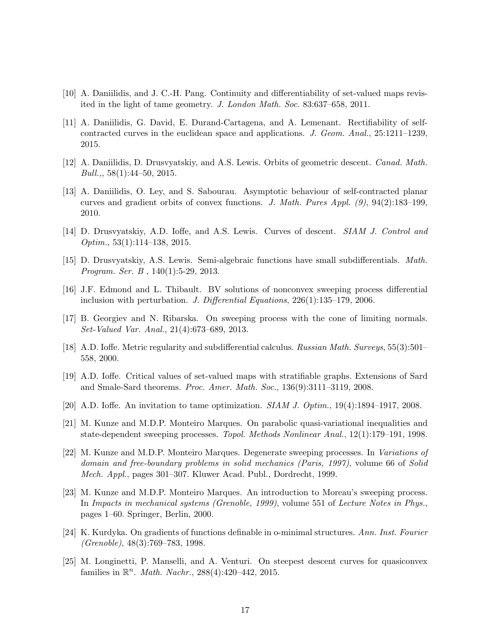- [10] A. Daniilidis, and J. C.-H. Pang. Continuity and differentiability of set-valued maps revisited in the light of tame geometry. J. London Math. Soc. 83:637–658, 2011.
- [11] A. Daniilidis, G. David, E. Durand-Cartagena, and A. Lemenant. Rectifiability of selfcontracted curves in the euclidean space and applications. J. Geom. Anal., 25:1211–1239, 2015.
- [12] A. Daniilidis, D. Drusvyatskiy, and A.S. Lewis. Orbits of geometric descent. Canad. Math.  $Bull., 58(1):44-50, 2015.$
- [13] A. Daniilidis, O. Ley, and S. Sabourau. Asymptotic behaviour of self-contracted planar curves and gradient orbits of convex functions. J. Math. Pures Appl. (9), 94(2):183–199, 2010.
- [14] D. Drusvyatskiy, A.D. Ioffe, and A.S. Lewis. Curves of descent. SIAM J. Control and Optim., 53(1):114–138, 2015.
- [15] D. Drusvyatskiy, A.S. Lewis. Semi-algebraic functions have small subdifferentials. Math. Program. Ser. B , 140(1):5-29, 2013.
- [16] J.F. Edmond and L. Thibault. BV solutions of nonconvex sweeping process differential inclusion with perturbation. J. Differential Equations, 226(1):135–179, 2006.
- [17] B. Georgiev and N. Ribarska. On sweeping process with the cone of limiting normals. Set-Valued Var. Anal., 21(4):673–689, 2013.
- [18] A.D. Ioffe. Metric regularity and subdifferential calculus. Russian Math. Surveys, 55(3):501– 558, 2000.
- [19] A.D. Ioffe. Critical values of set-valued maps with stratifiable graphs. Extensions of Sard and Smale-Sard theorems. Proc. Amer. Math. Soc., 136(9):3111–3119, 2008.
- [20] A.D. Ioffe. An invitation to tame optimization. SIAM J. Optim., 19(4):1894–1917, 2008.
- [21] M. Kunze and M.D.P. Monteiro Marques. On parabolic quasi-variational inequalities and state-dependent sweeping processes. Topol. Methods Nonlinear Anal., 12(1):179–191, 1998.
- [22] M. Kunze and M.D.P. Monteiro Marques. Degenerate sweeping processes. In Variations of domain and free-boundary problems in solid mechanics (Paris, 1997), volume 66 of Solid Mech. Appl., pages 301–307. Kluwer Acad. Publ., Dordrecht, 1999.
- [23] M. Kunze and M.D.P. Monteiro Marques. An introduction to Moreau's sweeping process. In Impacts in mechanical systems (Grenoble, 1999), volume 551 of Lecture Notes in Phys., pages 1–60. Springer, Berlin, 2000.
- [24] K. Kurdyka. On gradients of functions definable in o-minimal structures. Ann. Inst. Fourier (Grenoble), 48(3):769–783, 1998.
- [25] M. Longinetti, P. Manselli, and A. Venturi. On steepest descent curves for quasiconvex families in  $\mathbb{R}^n$ . *Math. Nachr.*, 288(4):420-442, 2015.